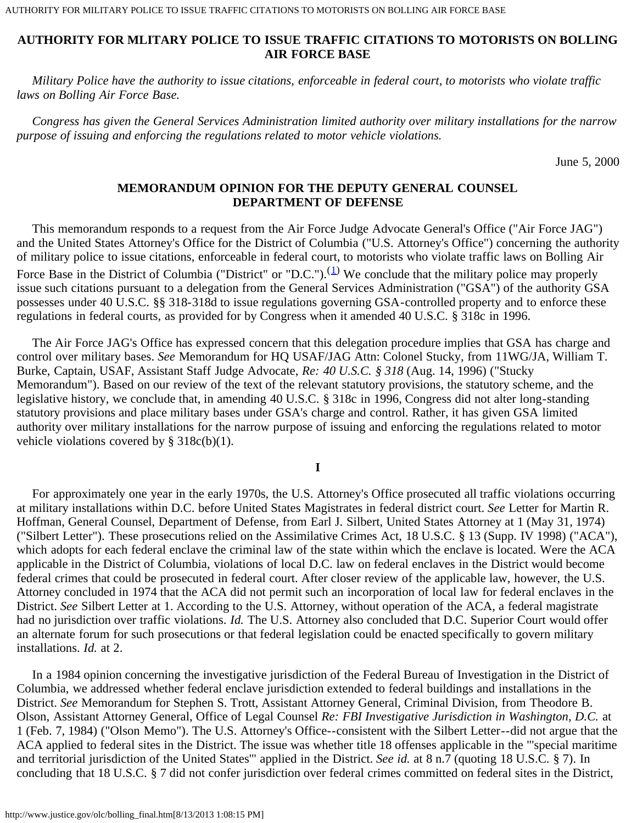*Military Police have the authority to issue citations, enforceable in federal court, to motorists who violate traffic laws on Bolling Air Force Base.*

 *Congress has given the General Services Administration limited authority over military installations for the narrow purpose of issuing and enforcing the regulations related to motor vehicle violations.*

June 5, 2000

## **MEMORANDUM OPINION FOR THE DEPUTY GENERAL COUNSEL DEPARTMENT OF DEFENSE**

 This memorandum responds to a request from the Air Force Judge Advocate General's Office ("Air Force JAG") and the United States Attorney's Office for the District of Columbia ("U.S. Attorney's Office") concerning the authority of military police to issue citations, enforceable in federal court, to motorists who violate traffic laws on Bolling Air Force Base in the District of Columbia ("District" or "D.C.").<sup>([1](#page-5-0))</sup> We conclude that the military police may properly issue such citations pursuant to a delegation from the General Services Administration ("GSA") of the authority GSA possesses under 40 U.S.C. §§ 318-318d to issue regulations governing GSA-controlled property and to enforce these regulations in federal courts, as provided for by Congress when it amended 40 U.S.C. § 318c in 1996.

 The Air Force JAG's Office has expressed concern that this delegation procedure implies that GSA has charge and control over military bases. *See* Memorandum for HQ USAF/JAG Attn: Colonel Stucky, from 11WG/JA, William T. Burke, Captain, USAF, Assistant Staff Judge Advocate, *Re: 40 U.S.C. § 318* (Aug. 14, 1996) ("Stucky Memorandum"). Based on our review of the text of the relevant statutory provisions, the statutory scheme, and the legislative history, we conclude that, in amending 40 U.S.C. § 318c in 1996, Congress did not alter long-standing statutory provisions and place military bases under GSA's charge and control. Rather, it has given GSA limited authority over military installations for the narrow purpose of issuing and enforcing the regulations related to motor vehicle violations covered by  $\S 318c(b)(1)$ .

**I**

 For approximately one year in the early 1970s, the U.S. Attorney's Office prosecuted all traffic violations occurring at military installations within D.C. before United States Magistrates in federal district court. *See* Letter for Martin R. Hoffman, General Counsel, Department of Defense, from Earl J. Silbert, United States Attorney at 1 (May 31, 1974) ("Silbert Letter"). These prosecutions relied on the Assimilative Crimes Act, 18 U.S.C. § 13 (Supp. IV 1998) ("ACA"), which adopts for each federal enclave the criminal law of the state within which the enclave is located. Were the ACA applicable in the District of Columbia, violations of local D.C. law on federal enclaves in the District would become federal crimes that could be prosecuted in federal court. After closer review of the applicable law, however, the U.S. Attorney concluded in 1974 that the ACA did not permit such an incorporation of local law for federal enclaves in the District. *See* Silbert Letter at 1. According to the U.S. Attorney, without operation of the ACA, a federal magistrate had no jurisdiction over traffic violations. *Id.* The U.S. Attorney also concluded that D.C. Superior Court would offer an alternate forum for such prosecutions or that federal legislation could be enacted specifically to govern military installations. *Id.* at 2.

 In a 1984 opinion concerning the investigative jurisdiction of the Federal Bureau of Investigation in the District of Columbia, we addressed whether federal enclave jurisdiction extended to federal buildings and installations in the District. *See* Memorandum for Stephen S. Trott, Assistant Attorney General, Criminal Division, from Theodore B. Olson, Assistant Attorney General, Office of Legal Counsel *Re: FBI Investigative Jurisdiction in Washington, D.C.* at 1 (Feb. 7, 1984) ("Olson Memo"). The U.S. Attorney's Office--consistent with the Silbert Letter--did not argue that the ACA applied to federal sites in the District. The issue was whether title 18 offenses applicable in the "'special maritime and territorial jurisdiction of the United States'" applied in the District. *See id.* at 8 n.7 (quoting 18 U.S.C. § 7). In concluding that 18 U.S.C. § 7 did not confer jurisdiction over federal crimes committed on federal sites in the District,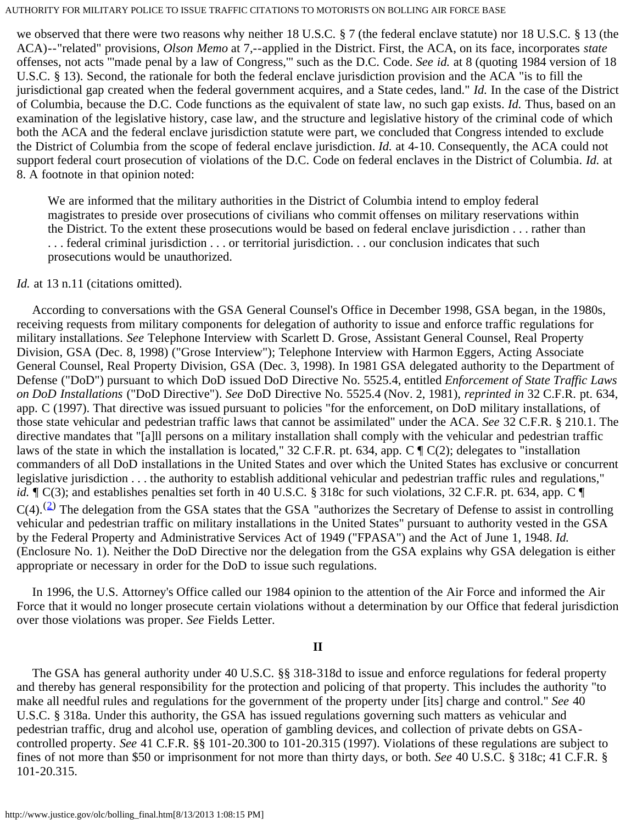we observed that there were two reasons why neither 18 U.S.C. § 7 (the federal enclave statute) nor 18 U.S.C. § 13 (the ACA)--"related" provisions, *Olson Memo* at 7,--applied in the District. First, the ACA, on its face, incorporates *state* offenses, not acts "'made penal by a law of Congress,'" such as the D.C. Code. *See id.* at 8 (quoting 1984 version of 18 U.S.C. § 13). Second, the rationale for both the federal enclave jurisdiction provision and the ACA "is to fill the jurisdictional gap created when the federal government acquires, and a State cedes, land." *Id.* In the case of the District of Columbia, because the D.C. Code functions as the equivalent of state law, no such gap exists. *Id.* Thus, based on an examination of the legislative history, case law, and the structure and legislative history of the criminal code of which both the ACA and the federal enclave jurisdiction statute were part, we concluded that Congress intended to exclude the District of Columbia from the scope of federal enclave jurisdiction. *Id.* at 4-10. Consequently, the ACA could not support federal court prosecution of violations of the D.C. Code on federal enclaves in the District of Columbia. *Id.* at 8. A footnote in that opinion noted:

We are informed that the military authorities in the District of Columbia intend to employ federal magistrates to preside over prosecutions of civilians who commit offenses on military reservations within the District. To the extent these prosecutions would be based on federal enclave jurisdiction . . . rather than . . . federal criminal jurisdiction . . . or territorial jurisdiction. . . our conclusion indicates that such prosecutions would be unauthorized.

### *Id.* at 13 n.11 (citations omitted).

 According to conversations with the GSA General Counsel's Office in December 1998, GSA began, in the 1980s, receiving requests from military components for delegation of authority to issue and enforce traffic regulations for military installations. *See* Telephone Interview with Scarlett D. Grose, Assistant General Counsel, Real Property Division, GSA (Dec. 8, 1998) ("Grose Interview"); Telephone Interview with Harmon Eggers, Acting Associate General Counsel, Real Property Division, GSA (Dec. 3, 1998). In 1981 GSA delegated authority to the Department of Defense ("DoD") pursuant to which DoD issued DoD Directive No. 5525.4, entitled *Enforcement of State Traffic Laws on DoD Installations* ("DoD Directive"). *See* DoD Directive No. 5525.4 (Nov. 2, 1981), *reprinted in* 32 C.F.R. pt. 634, app. C (1997). That directive was issued pursuant to policies "for the enforcement, on DoD military installations, of those state vehicular and pedestrian traffic laws that cannot be assimilated" under the ACA. *See* 32 C.F.R. § 210.1. The directive mandates that "[a]ll persons on a military installation shall comply with the vehicular and pedestrian traffic laws of the state in which the installation is located," 32 C.F.R. pt. 634, app.  $C \P C(2)$ ; delegates to "installation commanders of all DoD installations in the United States and over which the United States has exclusive or concurrent legislative jurisdiction . . . the authority to establish additional vehicular and pedestrian traffic rules and regulations," *id.*  $\mathbb{T}$  C(3); and establishes penalties set forth in 40 U.S.C. § 318c for such violations, 32 C.F.R. pt. 634, app. C  $\mathbb{T}$  $C(4)$ .<sup>([2](#page-5-1))</sup> The delegation from the GSA states that the GSA "authorizes the Secretary of Defense to assist in controlling vehicular and pedestrian traffic on military installations in the United States" pursuant to authority vested in the GSA by the Federal Property and Administrative Services Act of 1949 ("FPASA") and the Act of June 1, 1948. *Id.* (Enclosure No. 1). Neither the DoD Directive nor the delegation from the GSA explains why GSA delegation is either appropriate or necessary in order for the DoD to issue such regulations.

 In 1996, the U.S. Attorney's Office called our 1984 opinion to the attention of the Air Force and informed the Air Force that it would no longer prosecute certain violations without a determination by our Office that federal jurisdiction over those violations was proper. *See* Fields Letter.

# **II**

 The GSA has general authority under 40 U.S.C. §§ 318-318d to issue and enforce regulations for federal property and thereby has general responsibility for the protection and policing of that property. This includes the authority "to make all needful rules and regulations for the government of the property under [its] charge and control." *See* 40 U.S.C. § 318a. Under this authority, the GSA has issued regulations governing such matters as vehicular and pedestrian traffic, drug and alcohol use, operation of gambling devices, and collection of private debts on GSAcontrolled property. *See* 41 C.F.R. §§ 101-20.300 to 101-20.315 (1997). Violations of these regulations are subject to fines of not more than \$50 or imprisonment for not more than thirty days, or both. *See* 40 U.S.C. § 318c; 41 C.F.R. § 101-20.315.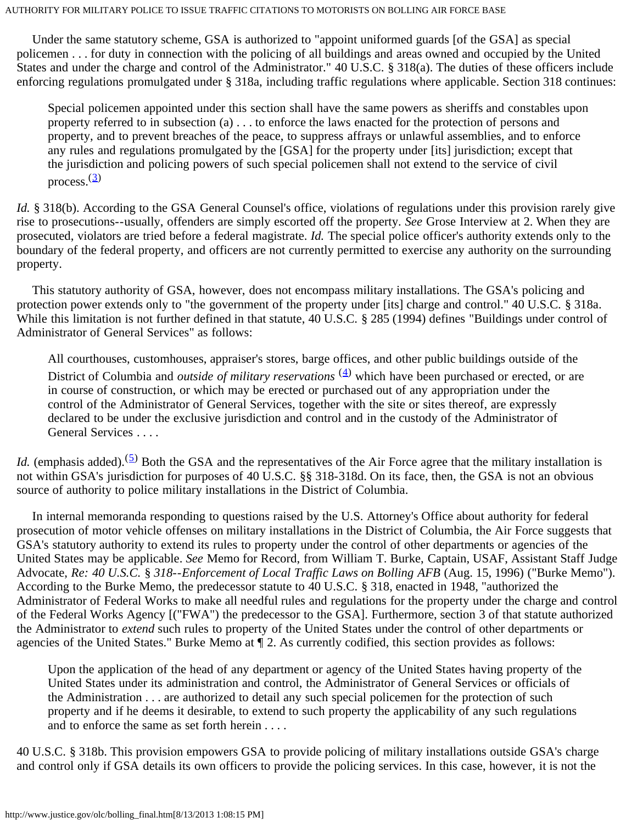Under the same statutory scheme, GSA is authorized to "appoint uniformed guards [of the GSA] as special policemen . . . for duty in connection with the policing of all buildings and areas owned and occupied by the United States and under the charge and control of the Administrator." 40 U.S.C. § 318(a). The duties of these officers include enforcing regulations promulgated under § 318a, including traffic regulations where applicable. Section 318 continues:

Special policemen appointed under this section shall have the same powers as sheriffs and constables upon property referred to in subsection (a) . . . to enforce the laws enacted for the protection of persons and property, and to prevent breaches of the peace, to suppress affrays or unlawful assemblies, and to enforce any rules and regulations promulgated by the [GSA] for the property under [its] jurisdiction; except that the jurisdiction and policing powers of such special policemen shall not extend to the service of civil process. $\frac{3}{2}$  $\frac{3}{2}$  $\frac{3}{2}$ 

*Id.* § 318(b). According to the GSA General Counsel's office, violations of regulations under this provision rarely give rise to prosecutions--usually, offenders are simply escorted off the property. *See* Grose Interview at 2. When they are prosecuted, violators are tried before a federal magistrate. *Id.* The special police officer's authority extends only to the boundary of the federal property, and officers are not currently permitted to exercise any authority on the surrounding property.

 This statutory authority of GSA, however, does not encompass military installations. The GSA's policing and protection power extends only to "the government of the property under [its] charge and control." 40 U.S.C. § 318a. While this limitation is not further defined in that statute, 40 U.S.C. § 285 (1994) defines "Buildings under control of Administrator of General Services" as follows:

All courthouses, customhouses, appraiser's stores, barge offices, and other public buildings outside of the District of Columbia and *outside of military reservations*  $(4)$  $(4)$  which have been purchased or erected, or are in course of construction, or which may be erected or purchased out of any appropriation under the control of the Administrator of General Services, together with the site or sites thereof, are expressly declared to be under the exclusive jurisdiction and control and in the custody of the Administrator of General Services . . . .

*Id.* (emphasis added).<sup>([5](#page-6-1))</sup> Both the GSA and the representatives of the Air Force agree that the military installation is not within GSA's jurisdiction for purposes of 40 U.S.C. §§ 318-318d. On its face, then, the GSA is not an obvious source of authority to police military installations in the District of Columbia.

 In internal memoranda responding to questions raised by the U.S. Attorney's Office about authority for federal prosecution of motor vehicle offenses on military installations in the District of Columbia, the Air Force suggests that GSA's statutory authority to extend its rules to property under the control of other departments or agencies of the United States may be applicable. *See* Memo for Record, from William T. Burke, Captain, USAF, Assistant Staff Judge Advocate, *Re: 40 U.S.C.* § *318--Enforcement of Local Traffic Laws on Bolling AFB* (Aug. 15, 1996) ("Burke Memo"). According to the Burke Memo, the predecessor statute to 40 U.S.C. § 318, enacted in 1948, "authorized the Administrator of Federal Works to make all needful rules and regulations for the property under the charge and control of the Federal Works Agency [("FWA") the predecessor to the GSA]. Furthermore, section 3 of that statute authorized the Administrator to *extend* such rules to property of the United States under the control of other departments or agencies of the United States." Burke Memo at ¶ 2. As currently codified, this section provides as follows:

Upon the application of the head of any department or agency of the United States having property of the United States under its administration and control, the Administrator of General Services or officials of the Administration . . . are authorized to detail any such special policemen for the protection of such property and if he deems it desirable, to extend to such property the applicability of any such regulations and to enforce the same as set forth herein . . . .

40 U.S.C. § 318b. This provision empowers GSA to provide policing of military installations outside GSA's charge and control only if GSA details its own officers to provide the policing services. In this case, however, it is not the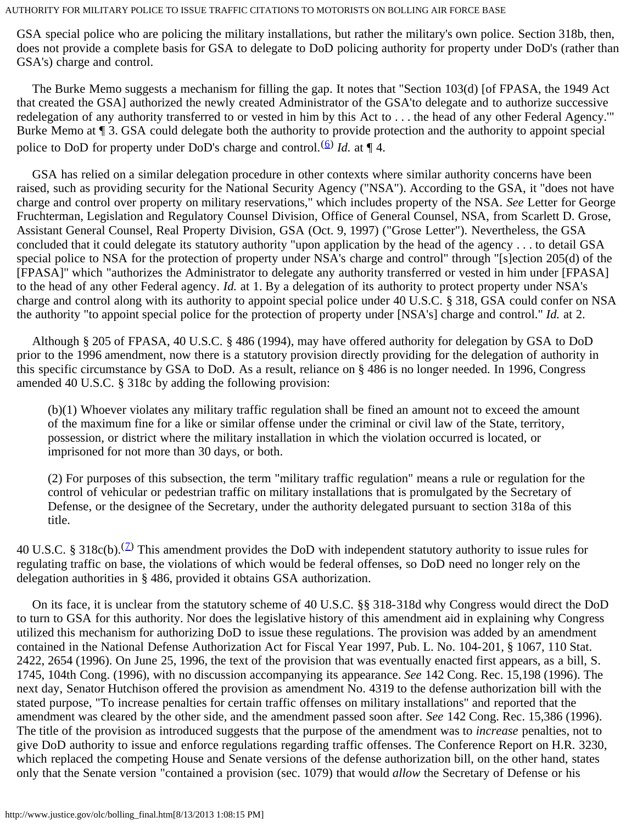GSA special police who are policing the military installations, but rather the military's own police. Section 318b, then, does not provide a complete basis for GSA to delegate to DoD policing authority for property under DoD's (rather than GSA's) charge and control.

 The Burke Memo suggests a mechanism for filling the gap. It notes that "Section 103(d) [of FPASA, the 1949 Act that created the GSA] authorized the newly created Administrator of the GSA'to delegate and to authorize successive redelegation of any authority transferred to or vested in him by this Act to . . . the head of any other Federal Agency.'" Burke Memo at ¶ 3. GSA could delegate both the authority to provide protection and the authority to appoint special police to DoD for property under DoD's charge and control.<sup>([6](#page-6-2))</sup> *Id.* at  $\P$  4.

 GSA has relied on a similar delegation procedure in other contexts where similar authority concerns have been raised, such as providing security for the National Security Agency ("NSA"). According to the GSA, it "does not have charge and control over property on military reservations," which includes property of the NSA. *See* Letter for George Fruchterman, Legislation and Regulatory Counsel Division, Office of General Counsel, NSA, from Scarlett D. Grose, Assistant General Counsel, Real Property Division, GSA (Oct. 9, 1997) ("Grose Letter"). Nevertheless, the GSA concluded that it could delegate its statutory authority "upon application by the head of the agency . . . to detail GSA special police to NSA for the protection of property under NSA's charge and control" through "[s]ection 205(d) of the [FPASA]" which "authorizes the Administrator to delegate any authority transferred or vested in him under [FPASA] to the head of any other Federal agency. *Id.* at 1. By a delegation of its authority to protect property under NSA's charge and control along with its authority to appoint special police under 40 U.S.C. § 318, GSA could confer on NSA the authority "to appoint special police for the protection of property under [NSA's] charge and control." *Id.* at 2.

 Although § 205 of FPASA, 40 U.S.C. § 486 (1994), may have offered authority for delegation by GSA to DoD prior to the 1996 amendment, now there is a statutory provision directly providing for the delegation of authority in this specific circumstance by GSA to DoD. As a result, reliance on § 486 is no longer needed. In 1996, Congress amended 40 U.S.C. § 318c by adding the following provision:

(b)(1) Whoever violates any military traffic regulation shall be fined an amount not to exceed the amount of the maximum fine for a like or similar offense under the criminal or civil law of the State, territory, possession, or district where the military installation in which the violation occurred is located, or imprisoned for not more than 30 days, or both.

(2) For purposes of this subsection, the term "military traffic regulation" means a rule or regulation for the control of vehicular or pedestrian traffic on military installations that is promulgated by the Secretary of Defense, or the designee of the Secretary, under the authority delegated pursuant to section 318a of this title.

40 U.S.C. § 318c(b).<sup>(2)</sup> This amendment provides the DoD with independent statutory authority to issue rules for regulating traffic on base, the violations of which would be federal offenses, so DoD need no longer rely on the delegation authorities in § 486, provided it obtains GSA authorization.

 On its face, it is unclear from the statutory scheme of 40 U.S.C. §§ 318-318d why Congress would direct the DoD to turn to GSA for this authority. Nor does the legislative history of this amendment aid in explaining why Congress utilized this mechanism for authorizing DoD to issue these regulations. The provision was added by an amendment contained in the National Defense Authorization Act for Fiscal Year 1997, Pub. L. No. 104-201, § 1067, 110 Stat. 2422, 2654 (1996). On June 25, 1996, the text of the provision that was eventually enacted first appears, as a bill, S. 1745, 104th Cong. (1996), with no discussion accompanying its appearance. *See* 142 Cong. Rec. 15,198 (1996). The next day, Senator Hutchison offered the provision as amendment No. 4319 to the defense authorization bill with the stated purpose, "To increase penalties for certain traffic offenses on military installations" and reported that the amendment was cleared by the other side, and the amendment passed soon after. *See* 142 Cong. Rec. 15,386 (1996). The title of the provision as introduced suggests that the purpose of the amendment was to *increase* penalties, not to give DoD authority to issue and enforce regulations regarding traffic offenses. The Conference Report on H.R. 3230, which replaced the competing House and Senate versions of the defense authorization bill, on the other hand, states only that the Senate version "contained a provision (sec. 1079) that would *allow* the Secretary of Defense or his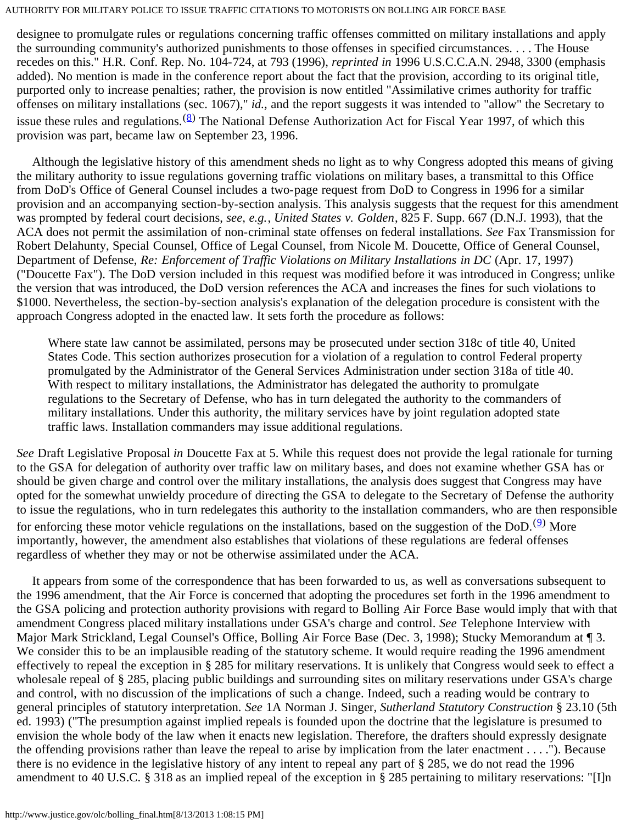designee to promulgate rules or regulations concerning traffic offenses committed on military installations and apply the surrounding community's authorized punishments to those offenses in specified circumstances. . . . The House recedes on this." H.R. Conf. Rep. No. 104-724, at 793 (1996), *reprinted in* 1996 U.S.C.C.A.N. 2948, 3300 (emphasis added). No mention is made in the conference report about the fact that the provision, according to its original title, purported only to increase penalties; rather, the provision is now entitled "Assimilative crimes authority for traffic offenses on military installations (sec. 1067)," *id.,* and the report suggests it was intended to "allow" the Secretary to issue these rules and regulations. ([8\)](#page-6-4) The National Defense Authorization Act for Fiscal Year 1997, of which this provision was part, became law on September 23, 1996.

 Although the legislative history of this amendment sheds no light as to why Congress adopted this means of giving the military authority to issue regulations governing traffic violations on military bases, a transmittal to this Office from DoD's Office of General Counsel includes a two-page request from DoD to Congress in 1996 for a similar provision and an accompanying section-by-section analysis. This analysis suggests that the request for this amendment was prompted by federal court decisions, *see, e.g.*, *United States v. Golden*, 825 F. Supp. 667 (D.N.J. 1993), that the ACA does not permit the assimilation of non-criminal state offenses on federal installations. *See* Fax Transmission for Robert Delahunty, Special Counsel, Office of Legal Counsel, from Nicole M. Doucette, Office of General Counsel, Department of Defense, *Re: Enforcement of Traffic Violations on Military Installations in DC* (Apr. 17, 1997) ("Doucette Fax"). The DoD version included in this request was modified before it was introduced in Congress; unlike the version that was introduced, the DoD version references the ACA and increases the fines for such violations to \$1000. Nevertheless, the section-by-section analysis's explanation of the delegation procedure is consistent with the approach Congress adopted in the enacted law. It sets forth the procedure as follows:

Where state law cannot be assimilated, persons may be prosecuted under section 318c of title 40, United States Code. This section authorizes prosecution for a violation of a regulation to control Federal property promulgated by the Administrator of the General Services Administration under section 318a of title 40. With respect to military installations, the Administrator has delegated the authority to promulgate regulations to the Secretary of Defense, who has in turn delegated the authority to the commanders of military installations. Under this authority, the military services have by joint regulation adopted state traffic laws. Installation commanders may issue additional regulations.

*See* Draft Legislative Proposal *in* Doucette Fax at 5. While this request does not provide the legal rationale for turning to the GSA for delegation of authority over traffic law on military bases, and does not examine whether GSA has or should be given charge and control over the military installations, the analysis does suggest that Congress may have opted for the somewhat unwieldy procedure of directing the GSA to delegate to the Secretary of Defense the authority to issue the regulations, who in turn redelegates this authority to the installation commanders, who are then responsible for enforcing these motor vehicle regulations on the installations, based on the suggestion of the DoD.<sup>(2)</sup> More importantly, however, the amendment also establishes that violations of these regulations are federal offenses regardless of whether they may or not be otherwise assimilated under the ACA.

 It appears from some of the correspondence that has been forwarded to us, as well as conversations subsequent to the 1996 amendment, that the Air Force is concerned that adopting the procedures set forth in the 1996 amendment to the GSA policing and protection authority provisions with regard to Bolling Air Force Base would imply that with that amendment Congress placed military installations under GSA's charge and control. *See* Telephone Interview with Major Mark Strickland, Legal Counsel's Office, Bolling Air Force Base (Dec. 3, 1998); Stucky Memorandum at ¶ 3. We consider this to be an implausible reading of the statutory scheme. It would require reading the 1996 amendment effectively to repeal the exception in § 285 for military reservations. It is unlikely that Congress would seek to effect a wholesale repeal of § 285, placing public buildings and surrounding sites on military reservations under GSA's charge and control, with no discussion of the implications of such a change. Indeed, such a reading would be contrary to general principles of statutory interpretation. *See* 1A Norman J. Singer, *Sutherland Statutory Construction* § 23.10 (5th ed. 1993) ("The presumption against implied repeals is founded upon the doctrine that the legislature is presumed to envision the whole body of the law when it enacts new legislation. Therefore, the drafters should expressly designate the offending provisions rather than leave the repeal to arise by implication from the later enactment . . . ."). Because there is no evidence in the legislative history of any intent to repeal any part of § 285, we do not read the 1996 amendment to 40 U.S.C. § 318 as an implied repeal of the exception in § 285 pertaining to military reservations: "[I]n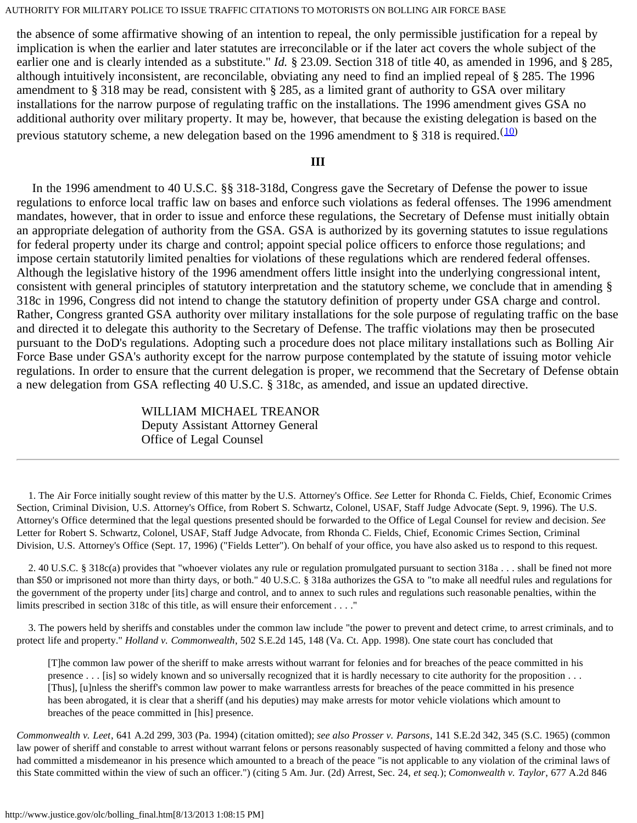the absence of some affirmative showing of an intention to repeal, the only permissible justification for a repeal by implication is when the earlier and later statutes are irreconcilable or if the later act covers the whole subject of the earlier one and is clearly intended as a substitute." *Id.* § 23.09. Section 318 of title 40, as amended in 1996, and § 285, although intuitively inconsistent, are reconcilable, obviating any need to find an implied repeal of § 285. The 1996 amendment to § 318 may be read, consistent with § 285, as a limited grant of authority to GSA over military installations for the narrow purpose of regulating traffic on the installations. The 1996 amendment gives GSA no additional authority over military property. It may be, however, that because the existing delegation is based on the previous statutory scheme, a new delegation based on the 1996 amendment to § 318 is required.  $\frac{(10)}{2}$  $\frac{(10)}{2}$  $\frac{(10)}{2}$ 

### **III**

 In the 1996 amendment to 40 U.S.C. §§ 318-318d, Congress gave the Secretary of Defense the power to issue regulations to enforce local traffic law on bases and enforce such violations as federal offenses. The 1996 amendment mandates, however, that in order to issue and enforce these regulations, the Secretary of Defense must initially obtain an appropriate delegation of authority from the GSA. GSA is authorized by its governing statutes to issue regulations for federal property under its charge and control; appoint special police officers to enforce those regulations; and impose certain statutorily limited penalties for violations of these regulations which are rendered federal offenses. Although the legislative history of the 1996 amendment offers little insight into the underlying congressional intent, consistent with general principles of statutory interpretation and the statutory scheme, we conclude that in amending § 318c in 1996, Congress did not intend to change the statutory definition of property under GSA charge and control. Rather, Congress granted GSA authority over military installations for the sole purpose of regulating traffic on the base and directed it to delegate this authority to the Secretary of Defense. The traffic violations may then be prosecuted pursuant to the DoD's regulations. Adopting such a procedure does not place military installations such as Bolling Air Force Base under GSA's authority except for the narrow purpose contemplated by the statute of issuing motor vehicle regulations. In order to ensure that the current delegation is proper, we recommend that the Secretary of Defense obtain a new delegation from GSA reflecting 40 U.S.C. § 318c, as amended, and issue an updated directive.

> WILLIAM MICHAEL TREANOR Deputy Assistant Attorney General Office of Legal Counsel

<span id="page-5-0"></span> 1. The Air Force initially sought review of this matter by the U.S. Attorney's Office. *See* Letter for Rhonda C. Fields, Chief, Economic Crimes Section, Criminal Division, U.S. Attorney's Office, from Robert S. Schwartz, Colonel, USAF, Staff Judge Advocate (Sept. 9, 1996). The U.S. Attorney's Office determined that the legal questions presented should be forwarded to the Office of Legal Counsel for review and decision. *See* Letter for Robert S. Schwartz, Colonel, USAF, Staff Judge Advocate, from Rhonda C. Fields, Chief, Economic Crimes Section, Criminal Division, U.S. Attorney's Office (Sept. 17, 1996) ("Fields Letter"). On behalf of your office, you have also asked us to respond to this request.

<span id="page-5-1"></span> 2. 40 U.S.C. § 318c(a) provides that "whoever violates any rule or regulation promulgated pursuant to section 318a . . . shall be fined not more than \$50 or imprisoned not more than thirty days, or both." 40 U.S.C. § 318a authorizes the GSA to "to make all needful rules and regulations for the government of the property under [its] charge and control, and to annex to such rules and regulations such reasonable penalties, within the limits prescribed in section 318c of this title, as will ensure their enforcement . . . ."

<span id="page-5-2"></span> 3. The powers held by sheriffs and constables under the common law include "the power to prevent and detect crime, to arrest criminals, and to protect life and property." *Holland v. Commonwealth*, 502 S.E.2d 145, 148 (Va. Ct. App. 1998). One state court has concluded that

[T]he common law power of the sheriff to make arrests without warrant for felonies and for breaches of the peace committed in his presence . . . [is] so widely known and so universally recognized that it is hardly necessary to cite authority for the proposition . . . [Thus], [u]nless the sheriff's common law power to make warrantless arrests for breaches of the peace committed in his presence has been abrogated, it is clear that a sheriff (and his deputies) may make arrests for motor vehicle violations which amount to breaches of the peace committed in [his] presence.

*Commonwealth v. Leet*, 641 A.2d 299, 303 (Pa. 1994) (citation omitted); *see also Prosser v. Parsons*, 141 S.E.2d 342, 345 (S.C. 1965) (common law power of sheriff and constable to arrest without warrant felons or persons reasonably suspected of having committed a felony and those who had committed a misdemeanor in his presence which amounted to a breach of the peace "is not applicable to any violation of the criminal laws of this State committed within the view of such an officer.") (citing 5 Am. Jur. (2d) Arrest, Sec. 24, *et seq.*); *Comonwealth v. Taylor*, 677 A.2d 846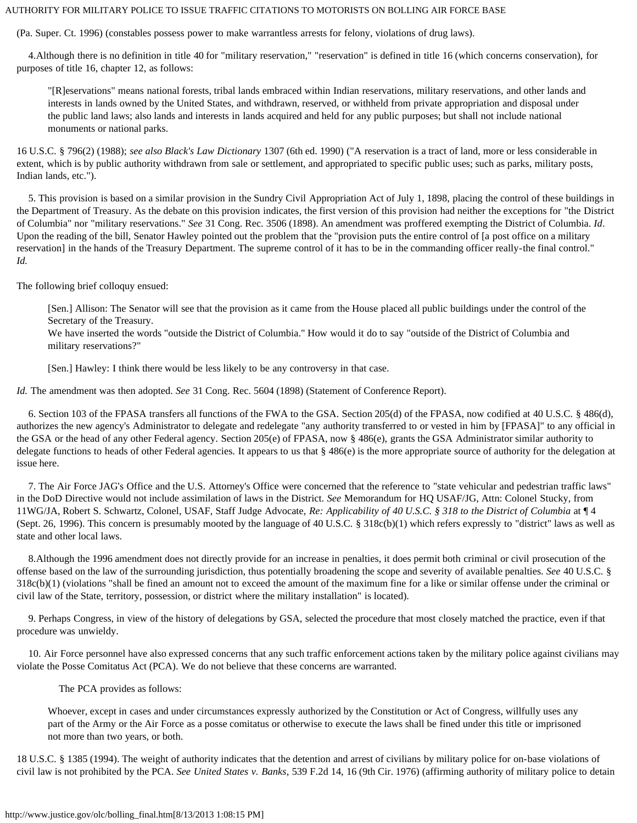(Pa. Super. Ct. 1996) (constables possess power to make warrantless arrests for felony, violations of drug laws).

<span id="page-6-0"></span> 4.Although there is no definition in title 40 for "military reservation," "reservation" is defined in title 16 (which concerns conservation), for purposes of title 16, chapter 12, as follows:

"[R]eservations" means national forests, tribal lands embraced within Indian reservations, military reservations, and other lands and interests in lands owned by the United States, and withdrawn, reserved, or withheld from private appropriation and disposal under the public land laws; also lands and interests in lands acquired and held for any public purposes; but shall not include national monuments or national parks.

16 U.S.C. § 796(2) (1988); *see also Black's Law Dictionary* 1307 (6th ed. 1990) ("A reservation is a tract of land, more or less considerable in extent, which is by public authority withdrawn from sale or settlement, and appropriated to specific public uses; such as parks, military posts, Indian lands, etc.").

<span id="page-6-1"></span> 5. This provision is based on a similar provision in the Sundry Civil Appropriation Act of July 1, 1898, placing the control of these buildings in the Department of Treasury. As the debate on this provision indicates, the first version of this provision had neither the exceptions for "the District of Columbia" nor "military reservations." *See* 31 Cong. Rec. 3506 (1898). An amendment was proffered exempting the District of Columbia. *Id*. Upon the reading of the bill, Senator Hawley pointed out the problem that the "provision puts the entire control of [a post office on a military reservation] in the hands of the Treasury Department. The supreme control of it has to be in the commanding officer really-the final control." *Id.*

The following brief colloquy ensued:

[Sen.] Allison: The Senator will see that the provision as it came from the House placed all public buildings under the control of the Secretary of the Treasury.

We have inserted the words "outside the District of Columbia." How would it do to say "outside of the District of Columbia and military reservations?"

[Sen.] Hawley: I think there would be less likely to be any controversy in that case.

*Id.* The amendment was then adopted. *See* 31 Cong. Rec. 5604 (1898) (Statement of Conference Report).

<span id="page-6-2"></span> 6. Section 103 of the FPASA transfers all functions of the FWA to the GSA. Section 205(d) of the FPASA, now codified at 40 U.S.C. § 486(d), authorizes the new agency's Administrator to delegate and redelegate "any authority transferred to or vested in him by [FPASA]" to any official in the GSA or the head of any other Federal agency. Section 205(e) of FPASA, now § 486(e), grants the GSA Administrator similar authority to delegate functions to heads of other Federal agencies. It appears to us that § 486(e) is the more appropriate source of authority for the delegation at issue here.

<span id="page-6-3"></span> 7. The Air Force JAG's Office and the U.S. Attorney's Office were concerned that the reference to "state vehicular and pedestrian traffic laws" in the DoD Directive would not include assimilation of laws in the District. *See* Memorandum for HQ USAF/JG, Attn: Colonel Stucky, from 11WG/JA, Robert S. Schwartz, Colonel, USAF, Staff Judge Advocate, *Re: Applicability of 40 U.S.C. § 318 to the District of Columbia* at ¶ 4 (Sept. 26, 1996). This concern is presumably mooted by the language of 40 U.S.C. § 318c(b)(1) which refers expressly to "district" laws as well as state and other local laws.

<span id="page-6-4"></span> 8.Although the 1996 amendment does not directly provide for an increase in penalties, it does permit both criminal or civil prosecution of the offense based on the law of the surrounding jurisdiction, thus potentially broadening the scope and severity of available penalties. *See* 40 U.S.C. § 318c(b)(1) (violations "shall be fined an amount not to exceed the amount of the maximum fine for a like or similar offense under the criminal or civil law of the State, territory, possession, or district where the military installation" is located).

<span id="page-6-5"></span> 9. Perhaps Congress, in view of the history of delegations by GSA, selected the procedure that most closely matched the practice, even if that procedure was unwieldy.

<span id="page-6-6"></span> 10. Air Force personnel have also expressed concerns that any such traffic enforcement actions taken by the military police against civilians may violate the Posse Comitatus Act (PCA). We do not believe that these concerns are warranted.

The PCA provides as follows:

Whoever, except in cases and under circumstances expressly authorized by the Constitution or Act of Congress, willfully uses any part of the Army or the Air Force as a posse comitatus or otherwise to execute the laws shall be fined under this title or imprisoned not more than two years, or both.

18 U.S.C. § 1385 (1994). The weight of authority indicates that the detention and arrest of civilians by military police for on-base violations of civil law is not prohibited by the PCA. *See United States v. Banks*, 539 F.2d 14, 16 (9th Cir. 1976) (affirming authority of military police to detain